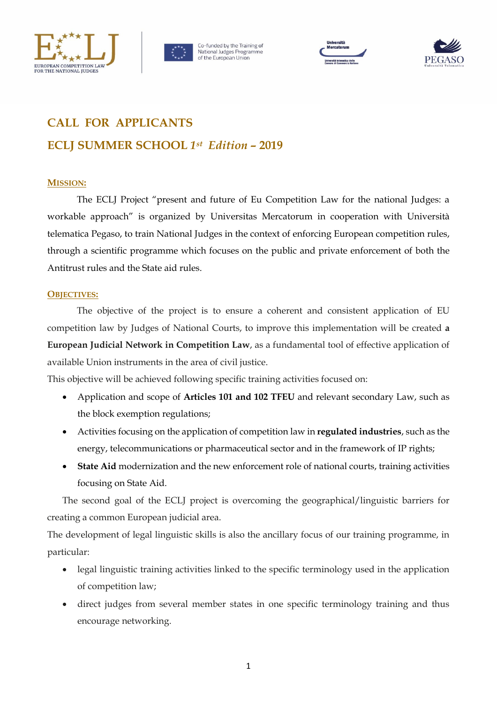







# **CALL FOR APPLICANTS ECLJ SUMMER SCHOOL** *1st Edition –* **2019**

## **MISSION:**

The ECLJ Project "present and future of Eu Competition Law for the national Judges: a workable approach" is organized by Universitas Mercatorum in cooperation with Università telematica Pegaso, to train National Judges in the context of enforcing European competition rules, through a scientific programme which focuses on the public and private enforcement of both the Antitrust rules and the State aid rules.

## **OBJECTIVES:**

The objective of the project is to ensure a coherent and consistent application of EU competition law by Judges of National Courts, to improve this implementation will be created **a European Judicial Network in Competition Law**, as a fundamental tool of effective application of available Union instruments in the area of civil justice.

This objective will be achieved following specific training activities focused on:

- Application and scope of **Articles 101 and 102 TFEU** and relevant secondary Law, such as the block exemption regulations;
- Activities focusing on the application of competition law in **regulated industries**, such as the energy, telecommunications or pharmaceutical sector and in the framework of IP rights;
- **State Aid** modernization and the new enforcement role of national courts, training activities focusing on State Aid.

The second goal of the ECLJ project is overcoming the geographical/linguistic barriers for creating a common European judicial area.

The development of legal linguistic skills is also the ancillary focus of our training programme, in particular:

- legal linguistic training activities linked to the specific terminology used in the application of competition law;
- direct judges from several member states in one specific terminology training and thus encourage networking.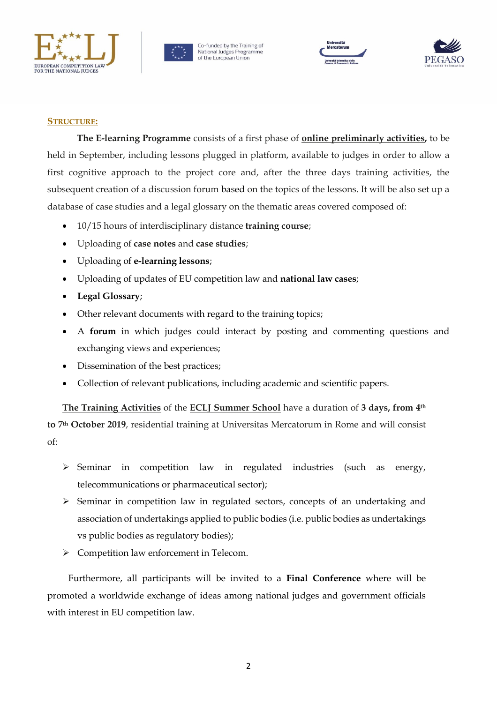



Co-funded by the Training of National Judges Programme<br>of the European Union





#### **STRUCTURE:**

**The E-learning Programme** consists of a first phase of **online preliminarly activities,** to be held in September, including lessons plugged in platform, available to judges in order to allow a first cognitive approach to the project core and, after the three days training activities, the subsequent creation of a discussion forum based on the topics of the lessons. It will be also set up a database of case studies and a legal glossary on the thematic areas covered composed of:

- 10/15 hours of interdisciplinary distance **training course**;
- Uploading of **case notes** and **case studies**;
- Uploading of **e-learning lessons**;
- Uploading of updates of EU competition law and **national law cases**;
- **Legal Glossary**;
- Other relevant documents with regard to the training topics;
- A **forum** in which judges could interact by posting and commenting questions and exchanging views and experiences;
- Dissemination of the best practices;
- Collection of relevant publications, including academic and scientific papers.

**The Training Activities** of the **ECLJ Summer School** have a duration of **3 days, from 4th to 7th October 2019**, residential training at Universitas Mercatorum in Rome and will consist of:

- $\triangleright$  Seminar in competition law in regulated industries (such as energy, telecommunications or pharmaceutical sector);
- $\triangleright$  Seminar in competition law in regulated sectors, concepts of an undertaking and association of undertakings applied to public bodies (i.e. public bodies as undertakings vs public bodies as regulatory bodies);
- > Competition law enforcement in Telecom.

Furthermore, all participants will be invited to a **Final Conference** where will be promoted a worldwide exchange of ideas among national judges and government officials with interest in EU competition law.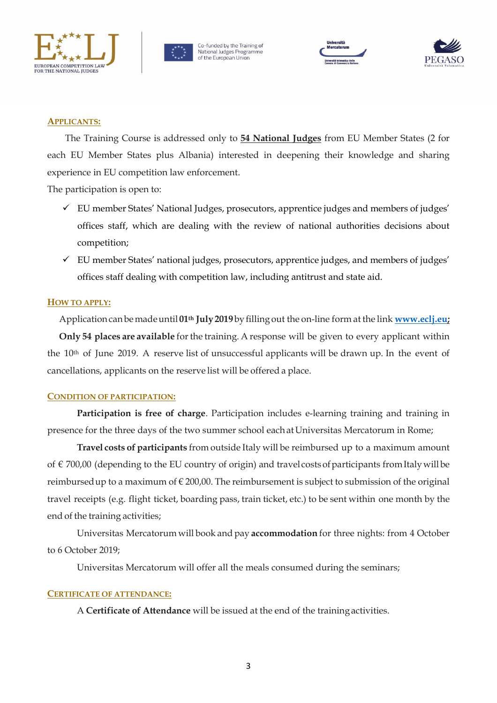



Co-funded by the Training of National Judges Programme<br>of the European Union





## **APPLICANTS:**

The Training Course is addressed only to **54 National Judges** from EU Member States (2 for each EU Member States plus Albania) interested in deepening their knowledge and sharing experience in EU competition law enforcement.

The participation is open to:

- $\checkmark$  EU member States' National Judges, prosecutors, apprentice judges and members of judges' offices staff, which are dealing with the review of national authorities decisions about competition;
- $\checkmark$  EU member States' national judges, prosecutors, apprentice judges, and members of judges' offices staff dealing with competition law, including antitrust and state aid.

## **HOW TO APPLY:**

Application canbemadeuntil **01th July2019**by filling out the on-line form at the link **[www.eclj.eu;](http://www.eclj.eu/) Only 54 places are available** forthe training. A response will be given to every applicant within the 10th of June 2019. A reserve list of unsuccessful applicants will be drawn up. In the event of cancellations, applicants on the reserve list will be offered a place.

#### **CONDITION OF PARTICIPATION:**

**Participation is free of charge**. Participation includes e-learning training and training in presence for the three days of the two summer school each at Universitas Mercatorum in Rome;

**Travel costs of participants** from outside Italy will be reimbursed up to a maximum amount of  $\epsilon$  700,00 (depending to the EU country of origin) and travel costs of participants from Italy will be reimbursed up to a maximum of  $\epsilon$  200,00. The reimbursement is subject to submission of the original travel receipts (e.g. flight ticket, boarding pass, train ticket, etc.) to be sent within one month by the end of the training activities;

Universitas Mercatorum will book and pay **accommodation** for three nights: from 4 October to 6 October 2019;

Universitas Mercatorum will offer all the meals consumed during the seminars;

#### **CERTIFICATE OF ATTENDANCE:**

A **Certificate of Attendance** will be issued at the end of the trainingactivities.